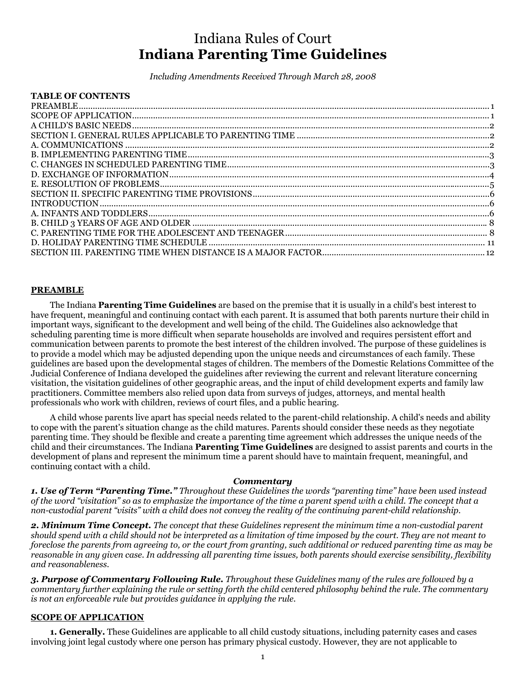# Indiana Rules of Court **Indiana Parenting Time Guidelines**

*Including Amendments Received Through March 28, 2008* 

<span id="page-0-0"></span>

| <b>TABLE OF CONTENTS</b> |  |
|--------------------------|--|
|                          |  |
|                          |  |
|                          |  |
|                          |  |
|                          |  |
|                          |  |
|                          |  |
|                          |  |
|                          |  |
|                          |  |
|                          |  |
|                          |  |
|                          |  |
|                          |  |
|                          |  |
|                          |  |

## **PREAMBLE**

 The Indiana **Parenting Time Guidelines** are based on the premise that it is usually in a child's best interest to have frequent, meaningful and continuing contact with each parent. It is assumed that both parents nurture their child in important ways, significant to the development and well being of the child. The Guidelines also acknowledge that scheduling parenting time is more difficult when separate households are involved and requires persistent effort and communication between parents to promote the best interest of the children involved. The purpose of these guidelines is to provide a model which may be adjusted depending upon the unique needs and circumstances of each family. These guidelines are based upon the developmental stages of children. The members of the Domestic Relations Committee of the Judicial Conference of Indiana developed the guidelines after reviewing the current and relevant literature concerning visitation, the visitation guidelines of other geographic areas, and the input of child development experts and family law practitioners. Committee members also relied upon data from surveys of judges, attorneys, and mental health professionals who work with children, reviews of court files, and a public hearing.

 A child whose parents live apart has special needs related to the parent-child relationship. A child's needs and ability to cope with the parent's situation change as the child matures. Parents should consider these needs as they negotiate parenting time. They should be flexible and create a parenting time agreement which addresses the unique needs of the child and their circumstances. The Indiana **Parenting Time Guidelines** are designed to assist parents and courts in the development of plans and represent the minimum time a parent should have to maintain frequent, meaningful, and continuing contact with a child.

## *Commentary*

*1. Use of Term "Parenting Time." Throughout these Guidelines the words "parenting time" have been used instead of the word "visitation" so as to emphasize the importance of the time a parent spend with a child. The concept that a non-custodial parent "visits" with a child does not convey the reality of the continuing parent-child relationship.*

*2. Minimum Time Concept. The concept that these Guidelines represent the minimum time a non-custodial parent should spend with a child should not be interpreted as a limitation of time imposed by the court. They are not meant to foreclose the parents from agreeing to, or the court from granting, such additional or reduced parenting time as may be reasonable in any given case. In addressing all parenting time issues, both parents should exercise sensibility, flexibility and reasonableness.*

*3. Purpose of Commentary Following Rule. Throughout these Guidelines many of the rules are followed by a commentary further explaining the rule or setting forth the child centered philosophy behind the rule. The commentary is not an enforceable rule but provides guidance in applying the rule.*

## **SCOPE OF APPLICATION**

 **1. Generally.** These Guidelines are applicable to all child custody situations, including paternity cases and cases involving joint legal custody where one person has primary physical custody. However, they are not applicable to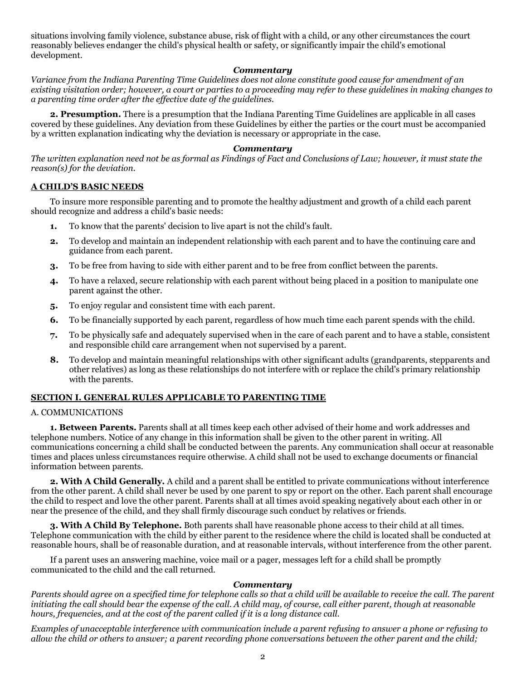<span id="page-1-0"></span>situations involving family violence, substance abuse, risk of flight with a child, or any other circumstances the court reasonably believes endanger the child's physical health or safety, or significantly impair the child's emotional development.

#### *Commentary*

*Variance from the Indiana Parenting Time Guidelines does not alone constitute good cause for amendment of an existing visitation order; however, a court or parties to a proceeding may refer to these guidelines in making changes to a parenting time order after the effective date of the guidelines.*

 **2. Presumption.** There is a presumption that the Indiana Parenting Time Guidelines are applicable in all cases covered by these guidelines. Any deviation from these Guidelines by either the parties or the court must be accompanied by a written explanation indicating why the deviation is necessary or appropriate in the case.

#### *Commentary*

*The written explanation need not be as formal as Findings of Fact and Conclusions of Law; however, it must state the reason(s) for the deviation.*

## **A CHILD'S BASIC NEEDS**

 To insure more responsible parenting and to promote the healthy adjustment and growth of a child each parent should recognize and address a child's basic needs:

- **1.** To know that the parents' decision to live apart is not the child's fault.
- **2.** To develop and maintain an independent relationship with each parent and to have the continuing care and guidance from each parent.
- **3.** To be free from having to side with either parent and to be free from conflict between the parents.
- **4.** To have a relaxed, secure relationship with each parent without being placed in a position to manipulate one parent against the other.
- **5.** To enjoy regular and consistent time with each parent.
- **6.** To be financially supported by each parent, regardless of how much time each parent spends with the child.
- **7.** To be physically safe and adequately supervised when in the care of each parent and to have a stable, consistent and responsible child care arrangement when not supervised by a parent.
- **8.** To develop and maintain meaningful relationships with other significant adults (grandparents, stepparents and other relatives) as long as these relationships do not interfere with or replace the child's primary relationship with the parents.

# **SECTION I. GENERAL RULES APPLICABLE TO PARENTING TIME**

#### A. COMMUNICATIONS

 **1. Between Parents.** Parents shall at all times keep each other advised of their home and work addresses and telephone numbers. Notice of any change in this information shall be given to the other parent in writing. All communications concerning a child shall be conducted between the parents. Any communication shall occur at reasonable times and places unless circumstances require otherwise. A child shall not be used to exchange documents or financial information between parents.

 **2. With A Child Generally.** A child and a parent shall be entitled to private communications without interference from the other parent. A child shall never be used by one parent to spy or report on the other. Each parent shall encourage the child to respect and love the other parent. Parents shall at all times avoid speaking negatively about each other in or near the presence of the child, and they shall firmly discourage such conduct by relatives or friends.

 **3. With A Child By Telephone.** Both parents shall have reasonable phone access to their child at all times. Telephone communication with the child by either parent to the residence where the child is located shall be conducted at reasonable hours, shall be of reasonable duration, and at reasonable intervals, without interference from the other parent.

 If a parent uses an answering machine, voice mail or a pager, messages left for a child shall be promptly communicated to the child and the call returned.

#### *Commentary*

*Parents should agree on a specified time for telephone calls so that a child will be available to receive the call. The parent initiating the call should bear the expense of the call. A child may, of course, call either parent, though at reasonable hours, frequencies, and at the cost of the parent called if it is a long distance call.*

*Examples of unacceptable interference with communication include a parent refusing to answer a phone or refusing to allow the child or others to answer; a parent recording phone conversations between the other parent and the child;*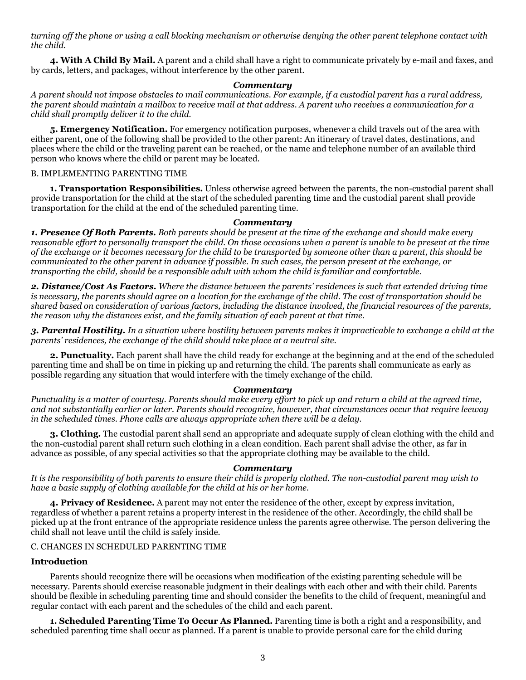<span id="page-2-0"></span>*turning off the phone or using a call blocking mechanism or otherwise denying the other parent telephone contact with the child.*

 **4. With A Child By Mail.** A parent and a child shall have a right to communicate privately by e-mail and faxes, and by cards, letters, and packages, without interference by the other parent.

## *Commentary*

*A parent should not impose obstacles to mail communications. For example, if a custodial parent has a rural address, the parent should maintain a mailbox to receive mail at that address. A parent who receives a communication for a child shall promptly deliver it to the child.*

 **5. Emergency Notification.** For emergency notification purposes, whenever a child travels out of the area with either parent, one of the following shall be provided to the other parent: An itinerary of travel dates, destinations, and places where the child or the traveling parent can be reached, or the name and telephone number of an available third person who knows where the child or parent may be located.

## B. IMPLEMENTING PARENTING TIME

 **1. Transportation Responsibilities.** Unless otherwise agreed between the parents, the non-custodial parent shall provide transportation for the child at the start of the scheduled parenting time and the custodial parent shall provide transportation for the child at the end of the scheduled parenting time.

## *Commentary*

*1. Presence Of Both Parents. Both parents should be present at the time of the exchange and should make every reasonable effort to personally transport the child. On those occasions when a parent is unable to be present at the time of the exchange or it becomes necessary for the child to be transported by someone other than a parent, this should be communicated to the other parent in advance if possible. In such cases, the person present at the exchange, or transporting the child, should be a responsible adult with whom the child is familiar and comfortable.*

*2. Distance/Cost As Factors. Where the distance between the parents' residences is such that extended driving time is necessary, the parents should agree on a location for the exchange of the child. The cost of transportation should be shared based on consideration of various factors, including the distance involved, the financial resources of the parents, the reason why the distances exist, and the family situation of each parent at that time.*

*3. Parental Hostility. In a situation where hostility between parents makes it impracticable to exchange a child at the parents' residences, the exchange of the child should take place at a neutral site.*

 **2. Punctuality.** Each parent shall have the child ready for exchange at the beginning and at the end of the scheduled parenting time and shall be on time in picking up and returning the child. The parents shall communicate as early as possible regarding any situation that would interfere with the timely exchange of the child.

# *Commentary*

*Punctuality is a matter of courtesy. Parents should make every effort to pick up and return a child at the agreed time, and not substantially earlier or later. Parents should recognize, however, that circumstances occur that require leeway in the scheduled times. Phone calls are always appropriate when there will be a delay.*

 **3. Clothing.** The custodial parent shall send an appropriate and adequate supply of clean clothing with the child and the non-custodial parent shall return such clothing in a clean condition. Each parent shall advise the other, as far in advance as possible, of any special activities so that the appropriate clothing may be available to the child.

## *Commentary*

*It is the responsibility of both parents to ensure their child is properly clothed. The non-custodial parent may wish to have a basic supply of clothing available for the child at his or her home.*

 **4. Privacy of Residence.** A parent may not enter the residence of the other, except by express invitation, regardless of whether a parent retains a property interest in the residence of the other. Accordingly, the child shall be picked up at the front entrance of the appropriate residence unless the parents agree otherwise. The person delivering the child shall not leave until the child is safely inside.

# C. CHANGES IN SCHEDULED PARENTING TIME

# **Introduction**

 Parents should recognize there will be occasions when modification of the existing parenting schedule will be necessary. Parents should exercise reasonable judgment in their dealings with each other and with their child. Parents should be flexible in scheduling parenting time and should consider the benefits to the child of frequent, meaningful and regular contact with each parent and the schedules of the child and each parent.

 **1. Scheduled Parenting Time To Occur As Planned.** Parenting time is both a right and a responsibility, and scheduled parenting time shall occur as planned. If a parent is unable to provide personal care for the child during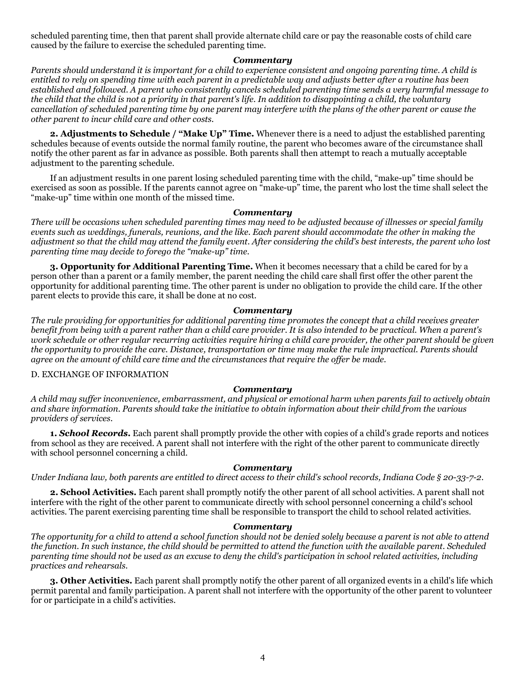<span id="page-3-0"></span>scheduled parenting time, then that parent shall provide alternate child care or pay the reasonable costs of child care caused by the failure to exercise the scheduled parenting time.

## *Commentary*

*Parents should understand it is important for a child to experience consistent and ongoing parenting time. A child is entitled to rely on spending time with each parent in a predictable way and adjusts better after a routine has been established and followed. A parent who consistently cancels scheduled parenting time sends a very harmful message to the child that the child is not a priority in that parent's life. In addition to disappointing a child, the voluntary cancellation of scheduled parenting time by one parent may interfere with the plans of the other parent or cause the other parent to incur child care and other costs.*

 **2. Adjustments to Schedule / "Make Up" Time.** Whenever there is a need to adjust the established parenting schedules because of events outside the normal family routine, the parent who becomes aware of the circumstance shall notify the other parent as far in advance as possible. Both parents shall then attempt to reach a mutually acceptable adjustment to the parenting schedule.

 If an adjustment results in one parent losing scheduled parenting time with the child, "make-up" time should be exercised as soon as possible. If the parents cannot agree on "make-up" time, the parent who lost the time shall select the "make-up" time within one month of the missed time.

#### *Commentary*

*There will be occasions when scheduled parenting times may need to be adjusted because of illnesses or special family events such as weddings, funerals, reunions, and the like. Each parent should accommodate the other in making the adjustment so that the child may attend the family event. After considering the child's best interests, the parent who lost parenting time may decide to forego the "make-up" time.*

 **3. Opportunity for Additional Parenting Time.** When it becomes necessary that a child be cared for by a person other than a parent or a family member, the parent needing the child care shall first offer the other parent the opportunity for additional parenting time. The other parent is under no obligation to provide the child care. If the other parent elects to provide this care, it shall be done at no cost.

## *Commentary*

*The rule providing for opportunities for additional parenting time promotes the concept that a child receives greater benefit from being with a parent rather than a child care provider. It is also intended to be practical. When a parent's work schedule or other regular recurring activities require hiring a child care provider, the other parent should be given the opportunity to provide the care. Distance, transportation or time may make the rule impractical. Parents should agree on the amount of child care time and the circumstances that require the offer be made.*

#### D. EXCHANGE OF INFORMATION

## *Commentary*

*A child may suffer inconvenience, embarrassment, and physical or emotional harm when parents fail to actively obtain and share information. Parents should take the initiative to obtain information about their child from the various providers of services*.

 **1.** *School Records***.** Each parent shall promptly provide the other with copies of a child's grade reports and notices from school as they are received. A parent shall not interfere with the right of the other parent to communicate directly with school personnel concerning a child.

#### *Commentary*

*Under Indiana law, both parents are entitled to direct access to their child's school records, Indiana Code § 20-33-7-2*.

 **2. School Activities.** Each parent shall promptly notify the other parent of all school activities. A parent shall not interfere with the right of the other parent to communicate directly with school personnel concerning a child's school activities. The parent exercising parenting time shall be responsible to transport the child to school related activities.

#### *Commentary*

*The opportunity for a child to attend a school function should not be denied solely because a parent is not able to attend the function. In such instance, the child should be permitted to attend the function with the available parent. Scheduled parenting time should not be used as an excuse to deny the child's participation in school related activities, including practices and rehearsals.*

 **3. Other Activities.** Each parent shall promptly notify the other parent of all organized events in a child's life which permit parental and family participation. A parent shall not interfere with the opportunity of the other parent to volunteer for or participate in a child's activities.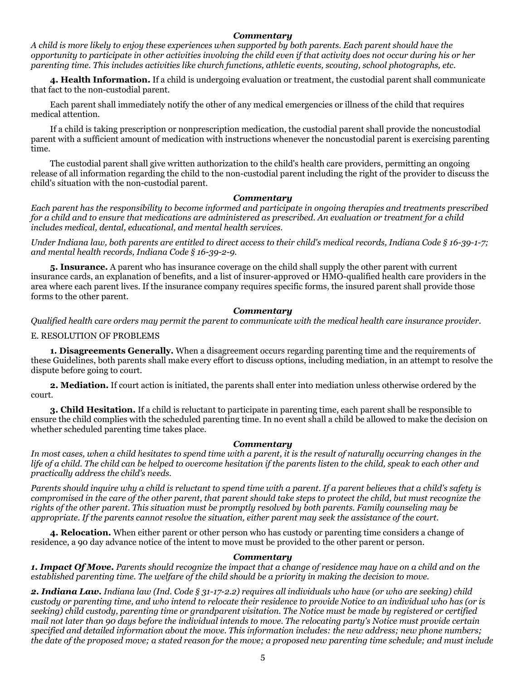## *Commentary*

<span id="page-4-0"></span>*A child is more likely to enjoy these experiences when supported by both parents. Each parent should have the opportunity to participate in other activities involving the child even if that activity does not occur during his or her parenting time. This includes activities like church functions, athletic events, scouting, school photographs, etc.*

 **4. Health Information.** If a child is undergoing evaluation or treatment, the custodial parent shall communicate that fact to the non-custodial parent.

 Each parent shall immediately notify the other of any medical emergencies or illness of the child that requires medical attention.

 If a child is taking prescription or nonprescription medication, the custodial parent shall provide the noncustodial parent with a sufficient amount of medication with instructions whenever the noncustodial parent is exercising parenting time.

 The custodial parent shall give written authorization to the child's health care providers, permitting an ongoing release of all information regarding the child to the non-custodial parent including the right of the provider to discuss the child's situation with the non-custodial parent.

## *Commentary*

*Each parent has the responsibility to become informed and participate in ongoing therapies and treatments prescribed for a child and to ensure that medications are administered as prescribed. An evaluation or treatment for a child includes medical, dental, educational, and mental health services.*

*Under Indiana law, both parents are entitled to direct access to their child's medical records, Indiana Code § 16-39-1-7; and mental health records, Indiana Code § 16-39-2-9.*

 **5. Insurance.** A parent who has insurance coverage on the child shall supply the other parent with current insurance cards, an explanation of benefits, and a list of insurer-approved or HMO-qualified health care providers in the area where each parent lives. If the insurance company requires specific forms, the insured parent shall provide those forms to the other parent.

#### *Commentary*

*Qualified health care orders may permit the parent to communicate with the medical health care insurance provider.*

#### E. RESOLUTION OF PROBLEMS

 **1. Disagreements Generally.** When a disagreement occurs regarding parenting time and the requirements of these Guidelines, both parents shall make every effort to discuss options, including mediation, in an attempt to resolve the dispute before going to court.

 **2. Mediation.** If court action is initiated, the parents shall enter into mediation unless otherwise ordered by the court.

 **3. Child Hesitation.** If a child is reluctant to participate in parenting time, each parent shall be responsible to ensure the child complies with the scheduled parenting time. In no event shall a child be allowed to make the decision on whether scheduled parenting time takes place.

## *Commentary*

In most cases, when a child hesitates to spend time with a parent, it is the result of naturally occurring changes in the *life of a child. The child can be helped to overcome hesitation if the parents listen to the child, speak to each other and practically address the child's needs.*

*Parents should inquire why a child is reluctant to spend time with a parent. If a parent believes that a child's safety is compromised in the care of the other parent, that parent should take steps to protect the child, but must recognize the rights of the other parent. This situation must be promptly resolved by both parents. Family counseling may be appropriate. If the parents cannot resolve the situation, either parent may seek the assistance of the court.*

 **4. Relocation.** When either parent or other person who has custody or parenting time considers a change of residence, a 90 day advance notice of the intent to move must be provided to the other parent or person.

#### *Commentary*

*1. Impact Of Move. Parents should recognize the impact that a change of residence may have on a child and on the established parenting time. The welfare of the child should be a priority in making the decision to move.*

*2. Indiana Law. Indiana law (Ind. Code § 31-17-2.2) requires all individuals who have (or who are seeking) child custody or parenting time, and who intend to relocate their residence to provide Notice to an individual who has (or is seeking) child custody, parenting time or grandparent visitation. The Notice must be made by registered or certified mail not later than 90 days before the individual intends to move. The relocating party's Notice must provide certain specified and detailed information about the move. This information includes: the new address; new phone numbers; the date of the proposed move; a stated reason for the move; a proposed new parenting time schedule; and must include*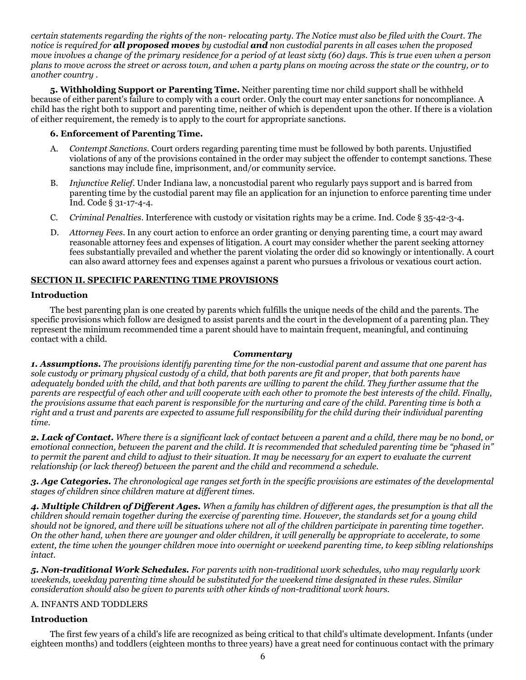<span id="page-5-0"></span>*certain statements regarding the rights of the non- relocating party. The Notice must also be filed with the Court. The notice is required for all proposed moves by custodial and non custodial parents in all cases when the proposed move involves a change of the primary residence for a period of at least sixty (60) days. This is true even when a person plans to move across the street or across town, and when a party plans on moving across the state or the country, or to another country .*

 **5. Withholding Support or Parenting Time.** Neither parenting time nor child support shall be withheld because of either parent's failure to comply with a court order. Only the court may enter sanctions for noncompliance. A child has the right both to support and parenting time, neither of which is dependent upon the other. If there is a violation of either requirement, the remedy is to apply to the court for appropriate sanctions.

## **6. Enforcement of Parenting Time.**

- A. *Contempt Sanctions*. Court orders regarding parenting time must be followed by both parents. Unjustified violations of any of the provisions contained in the order may subject the offender to contempt sanctions. These sanctions may include fine, imprisonment, and/or community service.
- B. *Injunctive Relief*. Under Indiana law, a noncustodial parent who regularly pays support and is barred from parenting time by the custodial parent may file an application for an injunction to enforce parenting time under Ind. Code § 31-17-4-4.
- C. *Criminal Penalties*. Interference with custody or visitation rights may be a crime. Ind. Code § 35-42-3-4.
- D. *Attorney Fees*. In any court action to enforce an order granting or denying parenting time, a court may award reasonable attorney fees and expenses of litigation. A court may consider whether the parent seeking attorney fees substantially prevailed and whether the parent violating the order did so knowingly or intentionally. A court can also award attorney fees and expenses against a parent who pursues a frivolous or vexatious court action.

## **SECTION II. SPECIFIC PARENTING TIME PROVISIONS**

## **Introduction**

 The best parenting plan is one created by parents which fulfills the unique needs of the child and the parents. The specific provisions which follow are designed to assist parents and the court in the development of a parenting plan. They represent the minimum recommended time a parent should have to maintain frequent, meaningful, and continuing contact with a child.

## *Commentary*

*1. Assumptions. The provisions identify parenting time for the non-custodial parent and assume that one parent has sole custody or primary physical custody of a child, that both parents are fit and proper, that both parents have adequately bonded with the child, and that both parents are willing to parent the child. They further assume that the parents are respectful of each other and will cooperate with each other to promote the best interests of the child. Finally, the provisions assume that each parent is responsible for the nurturing and care of the child. Parenting time is both a right and a trust and parents are expected to assume full responsibility for the child during their individual parenting time.*

*2. Lack of Contact. Where there is a significant lack of contact between a parent and a child, there may be no bond, or emotional connection, between the parent and the child. It is recommended that scheduled parenting time be "phased in" to permit the parent and child to adjust to their situation. It may be necessary for an expert to evaluate the current relationship (or lack thereof) between the parent and the child and recommend a schedule.*

*3. Age Categories. The chronological age ranges set forth in the specific provisions are estimates of the developmental stages of children since children mature at different times.*

*4. Multiple Children of Different Ages. When a family has children of different ages, the presumption is that all the children should remain together during the exercise of parenting time. However, the standards set for a young child should not be ignored, and there will be situations where not all of the children participate in parenting time together. On the other hand, when there are younger and older children, it will generally be appropriate to accelerate, to some extent, the time when the younger children move into overnight or weekend parenting time, to keep sibling relationships intact.*

*5. Non-traditional Work Schedules. For parents with non-traditional work schedules, who may regularly work weekends, weekday parenting time should be substituted for the weekend time designated in these rules. Similar consideration should also be given to parents with other kinds of non-traditional work hours.*

## A. INFANTS AND TODDLERS

# **Introduction**

 The first few years of a child's life are recognized as being critical to that child's ultimate development. Infants (under eighteen months) and toddlers (eighteen months to three years) have a great need for continuous contact with the primary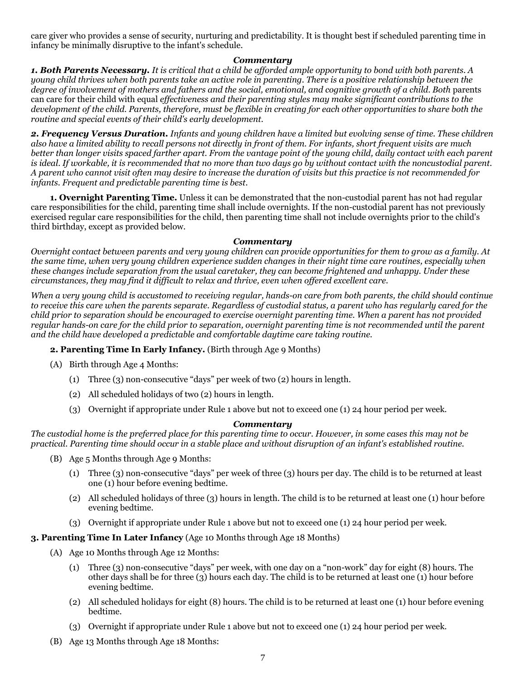care giver who provides a sense of security, nurturing and predictability. It is thought best if scheduled parenting time in infancy be minimally disruptive to the infant's schedule.

# *Commentary*

*1. Both Parents Necessary. It is critical that a child be afforded ample opportunity to bond with both parents. A young child thrives when both parents take an active role in parenting. There is a positive relationship between the degree of involvement of mothers and fathers and the social, emotional, and cognitive growth of a child. Both parents* can care for their child with equal *effectiveness and their parenting styles may make significant contributions to the development of the child. Parents, therefore, must be flexible in creating for each other opportunities to share both the routine and special events of their child's early development.* 

*2. Frequency Versus Duration. Infants and young children have a limited but evolving sense of time. These children also have a limited ability to recall persons not directly in front of them. For infants, short frequent visits are much better than longer visits spaced farther apart. From the vantage point of the young child, daily contact with each parent is ideal. If workable, it is recommended that no more than two days go by without contact with the noncustodial parent. A parent who cannot visit often may desire to increase the duration of visits but this practice is not recommended for infants. Frequent and predictable parenting time is best.*

 **1. Overnight Parenting Time.** Unless it can be demonstrated that the non-custodial parent has not had regular care responsibilities for the child, parenting time shall include overnights. If the non-custodial parent has not previously exercised regular care responsibilities for the child, then parenting time shall not include overnights prior to the child's third birthday, except as provided below.

# *Commentary*

*Overnight contact between parents and very young children can provide opportunities for them to grow as a family. At the same time, when very young children experience sudden changes in their night time care routines, especially when these changes include separation from the usual caretaker, they can become frightened and unhappy. Under these circumstances, they may find it difficult to relax and thrive, even when offered excellent care.*

*When a very young child is accustomed to receiving regular, hands-on care from both parents, the child should continue to receive this care when the parents separate. Regardless of custodial status, a parent who has regularly cared for the child prior to separation should be encouraged to exercise overnight parenting time. When a parent has not provided regular hands-on care for the child prior to separation, overnight parenting time is not recommended until the parent and the child have developed a predictable and comfortable daytime care taking routine.*

# **2. Parenting Time In Early Infancy.** (Birth through Age 9 Months)

- (A) Birth through Age 4 Months:
	- (1) Three (3) non-consecutive "days" per week of two (2) hours in length.
	- (2) All scheduled holidays of two (2) hours in length.
	- (3) Overnight if appropriate under Rule 1 above but not to exceed one (1) 24 hour period per week.

# *Commentary*

*The custodial home is the preferred place for this parenting time to occur. However, in some cases this may not be practical. Parenting time should occur in a stable place and without disruption of an infant's established routine.*

- (B) Age 5 Months through Age 9 Months:
	- (1) Three (3) non-consecutive "days" per week of three (3) hours per day. The child is to be returned at least one (1) hour before evening bedtime.
	- (2) All scheduled holidays of three (3) hours in length. The child is to be returned at least one (1) hour before evening bedtime.
	- (3) Overnight if appropriate under Rule 1 above but not to exceed one (1) 24 hour period per week.

# **3. Parenting Time In Later Infancy** (Age 10 Months through Age 18 Months)

- (A) Age 10 Months through Age 12 Months:
	- (1) Three (3) non-consecutive "days" per week, with one day on a "non-work" day for eight (8) hours. The other days shall be for three (3) hours each day. The child is to be returned at least one (1) hour before evening bedtime.
	- (2) All scheduled holidays for eight (8) hours. The child is to be returned at least one (1) hour before evening bedtime.
	- (3) Overnight if appropriate under Rule 1 above but not to exceed one (1) 24 hour period per week.
- (B) Age 13 Months through Age 18 Months: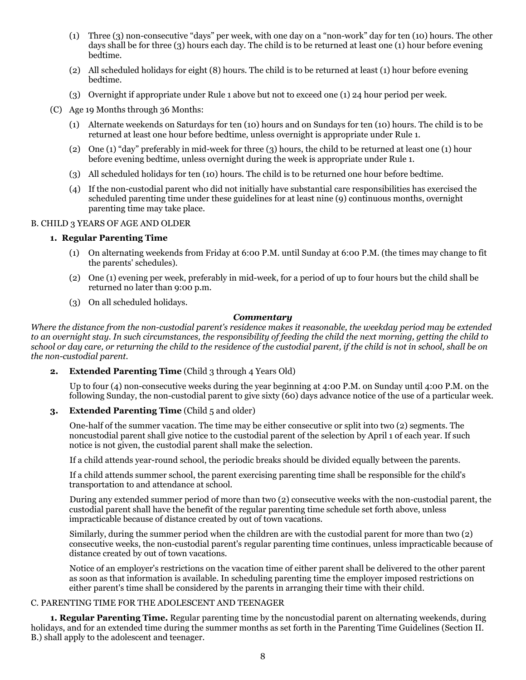- <span id="page-7-0"></span>(1) Three (3) non-consecutive "days" per week, with one day on a "non-work" day for ten (10) hours. The other days shall be for three (3) hours each day. The child is to be returned at least one (1) hour before evening bedtime.
- (2) All scheduled holidays for eight (8) hours. The child is to be returned at least (1) hour before evening bedtime.
- (3) Overnight if appropriate under Rule 1 above but not to exceed one (1) 24 hour period per week.
- (C) Age 19 Months through 36 Months:
	- (1) Alternate weekends on Saturdays for ten (10) hours and on Sundays for ten (10) hours. The child is to be returned at least one hour before bedtime, unless overnight is appropriate under Rule 1.
	- (2) One (1) "day" preferably in mid-week for three (3) hours, the child to be returned at least one (1) hour before evening bedtime, unless overnight during the week is appropriate under Rule 1.
	- (3) All scheduled holidays for ten (10) hours. The child is to be returned one hour before bedtime.
	- (4) If the non-custodial parent who did not initially have substantial care responsibilities has exercised the scheduled parenting time under these guidelines for at least nine (9) continuous months, overnight parenting time may take place.

## B. CHILD 3 YEARS OF AGE AND OLDER

## **1. Regular Parenting Time**

- (1) On alternating weekends from Friday at 6:00 P.M. until Sunday at 6:00 P.M. (the times may change to fit the parents' schedules).
- (2) One (1) evening per week, preferably in mid-week, for a period of up to four hours but the child shall be returned no later than 9:00 p.m.
- (3) On all scheduled holidays.

## *Commentary*

*Where the distance from the non-custodial parent's residence makes it reasonable, the weekday period may be extended to an overnight stay. In such circumstances, the responsibility of feeding the child the next morning, getting the child to school or day care, or returning the child to the residence of the custodial parent, if the child is not in school, shall be on the non-custodial parent.*

**2.** Extended Parenting Time (Child 3 through 4 Years Old)

Up to four (4) non-consecutive weeks during the year beginning at 4:00 P.M. on Sunday until 4:00 P.M. on the following Sunday, the non-custodial parent to give sixty (60) days advance notice of the use of a particular week.

# **3.** Extended Parenting Time (Child 5 and older)

One-half of the summer vacation. The time may be either consecutive or split into two (2) segments. The noncustodial parent shall give notice to the custodial parent of the selection by April 1 of each year. If such notice is not given, the custodial parent shall make the selection.

If a child attends year-round school, the periodic breaks should be divided equally between the parents.

If a child attends summer school, the parent exercising parenting time shall be responsible for the child's transportation to and attendance at school.

During any extended summer period of more than two (2) consecutive weeks with the non-custodial parent, the custodial parent shall have the benefit of the regular parenting time schedule set forth above, unless impracticable because of distance created by out of town vacations.

Similarly, during the summer period when the children are with the custodial parent for more than two (2) consecutive weeks, the non-custodial parent's regular parenting time continues, unless impracticable because of distance created by out of town vacations.

Notice of an employer's restrictions on the vacation time of either parent shall be delivered to the other parent as soon as that information is available. In scheduling parenting time the employer imposed restrictions on either parent's time shall be considered by the parents in arranging their time with their child.

## C. PARENTING TIME FOR THE ADOLESCENT AND TEENAGER

 **1. Regular Parenting Time.** Regular parenting time by the noncustodial parent on alternating weekends, during holidays, and for an extended time during the summer months as set forth in the Parenting Time Guidelines (Section II. B.) shall apply to the adolescent and teenager.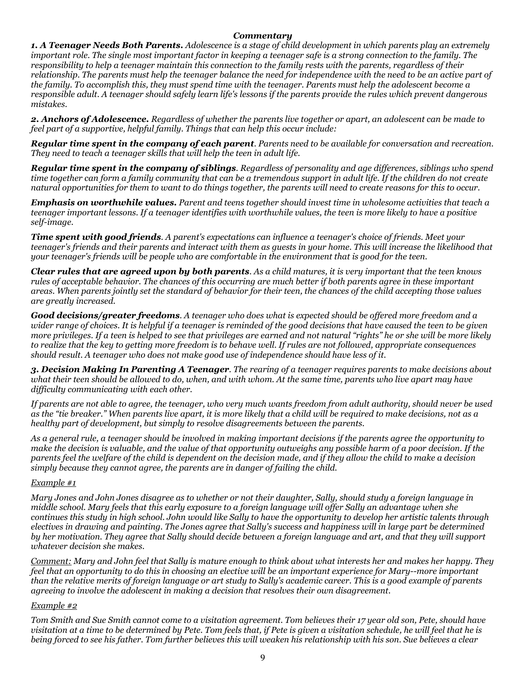## *Commentary*

*1. A Teenager Needs Both Parents. Adolescence is a stage of child development in which parents play an extremely important role. The single most important factor in keeping a teenager safe is a strong connection to the family. The responsibility to help a teenager maintain this connection to the family rests with the parents, regardless of their relationship. The parents must help the teenager balance the need for independence with the need to be an active part of the family. To accomplish this, they must spend time with the teenager. Parents must help the adolescent become a responsible adult. A teenager should safely learn life's lessons if the parents provide the rules which prevent dangerous mistakes.*

*2. Anchors of Adolescence. Regardless of whether the parents live together or apart, an adolescent can be made to feel part of a supportive, helpful family. Things that can help this occur include:*

*Regular time spent in the company of each parent. Parents need to be available for conversation and recreation. They need to teach a teenager skills that will help the teen in adult life.*

*Regular time spent in the company of siblings. Regardless of personality and age differences, siblings who spend time together can form a family community that can be a tremendous support in adult life. If the children do not create natural opportunities for them to want to do things together, the parents will need to create reasons for this to occur.*

*Emphasis on worthwhile values. Parent and teens together should invest time in wholesome activities that teach a teenager important lessons. If a teenager identifies with worthwhile values, the teen is more likely to have a positive self-image.*

*Time spent with good friends. A parent's expectations can influence a teenager's choice of friends. Meet your teenager's friends and their parents and interact with them as guests in your home. This will increase the likelihood that your teenager's friends will be people who are comfortable in the environment that is good for the teen.*

*Clear rules that are agreed upon by both parents. As a child matures, it is very important that the teen knows rules of acceptable behavior. The chances of this occurring are much better if both parents agree in these important areas. When parents jointly set the standard of behavior for their teen, the chances of the child accepting those values are greatly increased.*

*Good decisions/greater freedoms. A teenager who does what is expected should be offered more freedom and a wider range of choices. It is helpful if a teenager is reminded of the good decisions that have caused the teen to be given more privileges. If a teen is helped to see that privileges are earned and not natural "rights" he or she will be more likely to realize that the key to getting more freedom is to behave well. If rules are not followed, appropriate consequences should result. A teenager who does not make good use of independence should have less of it.*

*3. Decision Making In Parenting A Teenager. The rearing of a teenager requires parents to make decisions about what their teen should be allowed to do, when, and with whom. At the same time, parents who live apart may have difficulty communicating with each other.*

*If parents are not able to agree, the teenager, who very much wants freedom from adult authority, should never be used as the "tie breaker." When parents live apart, it is more likely that a child will be required to make decisions, not as a healthy part of development, but simply to resolve disagreements between the parents.*

*As a general rule, a teenager should be involved in making important decisions if the parents agree the opportunity to make the decision is valuable, and the value of that opportunity outweighs any possible harm of a poor decision. If the parents feel the welfare of the child is dependent on the decision made, and if they allow the child to make a decision simply because they cannot agree, the parents are in danger of failing the child.*

## *Example #1*

*Mary Jones and John Jones disagree as to whether or not their daughter, Sally, should study a foreign language in middle school. Mary feels that this early exposure to a foreign language will offer Sally an advantage when she continues this study in high school. John would like Sally to have the opportunity to develop her artistic talents through electives in drawing and painting. The Jones agree that Sally's success and happiness will in large part be determined by her motivation. They agree that Sally should decide between a foreign language and art, and that they will support whatever decision she makes.*

*Comment: Mary and John feel that Sally is mature enough to think about what interests her and makes her happy. They feel that an opportunity to do this in choosing an elective will be an important experience for Mary--more important than the relative merits of foreign language or art study to Sally's academic career. This is a good example of parents agreeing to involve the adolescent in making a decision that resolves their own disagreement.*

## *Example #2*

*Tom Smith and Sue Smith cannot come to a visitation agreement. Tom believes their 17 year old son, Pete, should have visitation at a time to be determined by Pete. Tom feels that, if Pete is given a visitation schedule, he will feel that he is being forced to see his father. Tom further believes this will weaken his relationship with his son. Sue believes a clear*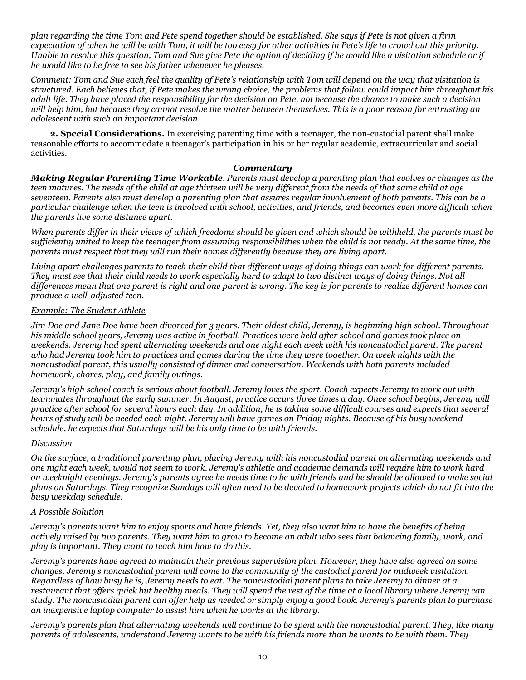*plan regarding the time Tom and Pete spend together should be established. She says if Pete is not given a firm expectation of when he will be with Tom, it will be too easy for other activities in Pete's life to crowd out this priority. Unable to resolve this question, Tom and Sue give Pete the option of deciding if he would like a visitation schedule or if he would like to be free to see his father whenever he pleases.*

*Comment: Tom and Sue each feel the quality of Pete's relationship with Tom will depend on the way that visitation is structured. Each believes that, if Pete makes the wrong choice, the problems that follow could impact him throughout his adult life. They have placed the responsibility for the decision on Pete, not because the chance to make such a decision will help him, but because they cannot resolve the matter between themselves. This is a poor reason for entrusting an adolescent with such an important decision.*

**2. Special Considerations.** In exercising parenting time with a teenager, the non-custodial parent shall make reasonable efforts to accommodate a teenager's participation in his or her regular academic, extracurricular and social activities.

## *Commentary*

*Making Regular Parenting Time Workable. Parents must develop a parenting plan that evolves or changes as the teen matures. The needs of the child at age thirteen will be very different from the needs of that same child at age seventeen. Parents also must develop a parenting plan that assures regular involvement of both parents. This can be a particular challenge when the teen is involved with school, activities, and friends, and becomes even more difficult when the parents live some distance apart.*

*When parents differ in their views of which freedoms should be given and which should be withheld, the parents must be sufficiently united to keep the teenager from assuming responsibilities when the child is not ready. At the same time, the parents must respect that they will run their homes differently because they are living apart.*

*Living apart challenges parents to teach their child that different ways of doing things can work for different parents. They must see that their child needs to work especially hard to adapt to two distinct ways of doing things. Not all differences mean that one parent is right and one parent is wrong. The key is for parents to realize different homes can produce a well-adjusted teen.*

## *Example: The Student Athlete*

*Jim Doe and Jane Doe have been divorced for 3 years. Their oldest child, Jeremy, is beginning high school. Throughout his middle school years, Jeremy was active in football. Practices were held after school and games took place on weekends. Jeremy had spent alternating weekends and one night each week with his noncustodial parent. The parent who had Jeremy took him to practices and games during the time they were together. On week nights with the noncustodial parent, this usually consisted of dinner and conversation. Weekends with both parents included homework, chores, play, and family outings.*

*Jeremy's high school coach is serious about football. Jeremy loves the sport. Coach expects Jeremy to work out with teammates throughout the early summer. In August, practice occurs three times a day. Once school begins, Jeremy will practice after school for several hours each day. In addition, he is taking some difficult courses and expects that several hours of study will be needed each night. Jeremy will have games on Friday nights. Because of his busy weekend schedule, he expects that Saturdays will be his only time to be with friends.*

## *Discussion*

*On the surface, a traditional parenting plan, placing Jeremy with his noncustodial parent on alternating weekends and one night each week, would not seem to work. Jeremy's athletic and academic demands will require him to work hard on weeknight evenings. Jeremy's parents agree he needs time to be with friends and he should be allowed to make social plans on Saturdays. They recognize Sundays will often need to be devoted to homework projects which do not fit into the busy weekday schedule.*

## *A Possible Solution*

*Jeremy's parents want him to enjoy sports and have friends. Yet, they also want him to have the benefits of being actively raised by two parents. They want him to grow to become an adult who sees that balancing family, work, and play is important. They want to teach him how to do this.*

*Jeremy's parents have agreed to maintain their previous supervision plan. However, they have also agreed on some changes. Jeremy's noncustodial parent will come to the community of the custodial parent for midweek visitation. Regardless of how busy he is, Jeremy needs to eat. The noncustodial parent plans to take Jeremy to dinner at a restaurant that offers quick but healthy meals. They will spend the rest of the time at a local library where Jeremy can study. The noncustodial parent can offer help as needed or simply enjoy a good book. Jeremy's parents plan to purchase an inexpensive laptop computer to assist him when he works at the library.*

*Jeremy's parents plan that alternating weekends will continue to be spent with the noncustodial parent. They, like many parents of adolescents, understand Jeremy wants to be with his friends more than he wants to be with them. They*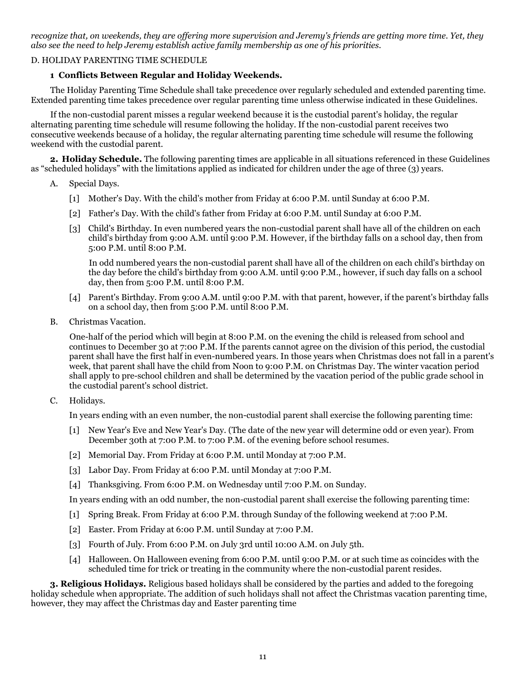<span id="page-10-0"></span>*recognize that, on weekends, they are offering more supervision and Jeremy's friends are getting more time. Yet, they also see the need to help Jeremy establish active family membership as one of his priorities.*

## D. HOLIDAY PARENTING TIME SCHEDULE

# **1 Conflicts Between Regular and Holiday Weekends.**

 The Holiday Parenting Time Schedule shall take precedence over regularly scheduled and extended parenting time. Extended parenting time takes precedence over regular parenting time unless otherwise indicated in these Guidelines.

 If the non-custodial parent misses a regular weekend because it is the custodial parent's holiday, the regular alternating parenting time schedule will resume following the holiday. If the non-custodial parent receives two consecutive weekends because of a holiday, the regular alternating parenting time schedule will resume the following weekend with the custodial parent.

 **2. Holiday Schedule.** The following parenting times are applicable in all situations referenced in these Guidelines as "scheduled holidays" with the limitations applied as indicated for children under the age of three (3) years.

- A. Special Days.
	- [1] Mother's Day. With the child's mother from Friday at 6:00 P.M. until Sunday at 6:00 P.M.
	- [2] Father's Day. With the child's father from Friday at 6:00 P.M. until Sunday at 6:00 P.M.
	- [3] Child's Birthday. In even numbered years the non-custodial parent shall have all of the children on each child's birthday from 9:00 A.M. until 9:00 P.M. However, if the birthday falls on a school day, then from 5:00 P.M. until 8:00 P.M.

In odd numbered years the non-custodial parent shall have all of the children on each child's birthday on the day before the child's birthday from 9:00 A.M. until 9:00 P.M., however, if such day falls on a school day, then from 5:00 P.M. until 8:00 P.M.

- [4] Parent's Birthday. From 9:00 A.M. until 9:00 P.M. with that parent, however, if the parent's birthday falls on a school day, then from 5:00 P.M. until 8:00 P.M.
- B. Christmas Vacation.

One-half of the period which will begin at 8:00 P.M. on the evening the child is released from school and continues to December 30 at 7:00 P.M. If the parents cannot agree on the division of this period, the custodial parent shall have the first half in even-numbered years. In those years when Christmas does not fall in a parent's week, that parent shall have the child from Noon to 9:00 P.M. on Christmas Day. The winter vacation period shall apply to pre-school children and shall be determined by the vacation period of the public grade school in the custodial parent's school district.

C. Holidays.

In years ending with an even number, the non-custodial parent shall exercise the following parenting time:

- [1] New Year's Eve and New Year's Day. (The date of the new year will determine odd or even year). From December 30th at 7:00 P.M. to 7:00 P.M. of the evening before school resumes.
- [2] Memorial Day. From Friday at 6:00 P.M. until Monday at 7:00 P.M.
- [3] Labor Day. From Friday at 6:00 P.M. until Monday at 7:00 P.M.
- [4] Thanksgiving. From 6:00 P.M. on Wednesday until 7:00 P.M. on Sunday.

In years ending with an odd number, the non-custodial parent shall exercise the following parenting time:

- [1] Spring Break. From Friday at 6:00 P.M. through Sunday of the following weekend at 7:00 P.M.
- [2] Easter. From Friday at 6:00 P.M. until Sunday at 7:00 P.M.
- [3] Fourth of July. From 6:00 P.M. on July 3rd until 10:00 A.M. on July 5th.
- [4] Halloween. On Halloween evening from 6:00 P.M. until 9:00 P.M. or at such time as coincides with the scheduled time for trick or treating in the community where the non-custodial parent resides.

 **3. Religious Holiday***s.* Religious based holidays shall be considered by the parties and added to the foregoing holiday schedule when appropriate. The addition of such holidays shall not affect the Christmas vacation parenting time, however, they may affect the Christmas day and Easter parenting time